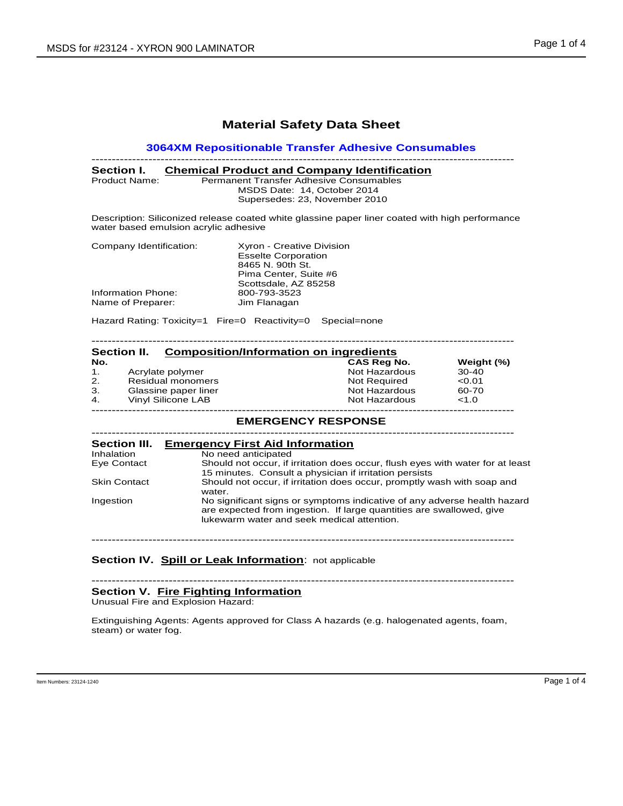## **Material Safety Data Sheet**

## **3064XM Repositionable Transfer Adhesive Consumables**

| Section I.    | <b>Chemical Product and Company Identification</b> |
|---------------|----------------------------------------------------|
| Product Name: | <b>Permanent Transfer Adhesive Consumables</b>     |
|               | MSDS Date: 14. October 2014                        |
|               | Supersedes: 23, November 2010                      |

Description: Siliconized release coated white glassine paper liner coated with high performance water based emulsion acrylic adhesive

| Xyron - Creative Division  |
|----------------------------|
| <b>Esselte Corporation</b> |
| 8465 N. 90th St.           |
| Pima Center, Suite #6      |
| Scottsdale, AZ 85258       |
| 800-793-3523               |
| Jim Flanagan               |
|                            |

Hazard Rating: Toxicity=1 Fire=0 Reactivity=0 Special=none

| <b>Section II.</b> |                          | <b>Composition/Information on ingredients</b> |                    |            |  |
|--------------------|--------------------------|-----------------------------------------------|--------------------|------------|--|
| No.                |                          |                                               | <b>CAS Reg No.</b> | Weight (%) |  |
| $\mathbf{1}$ .     | Acrylate polymer         |                                               | Not Hazardous      | 30-40      |  |
| 2.                 | <b>Residual monomers</b> |                                               | Not Required       | < 0.01     |  |
| 3.                 | Glassine paper liner     |                                               | Not Hazardous      | 60-70      |  |
| 4.                 | Vinyl Silicone LAB       |                                               | Not Hazardous      | <1.0       |  |

# -------------------------------------------------------------------------------------------------------- **EMERGENCY RESPONSE**

| <b>Section III.</b> | <b>Emergency First Aid Information</b>                                                                                                                                                         |  |
|---------------------|------------------------------------------------------------------------------------------------------------------------------------------------------------------------------------------------|--|
| Inhalation          | No need anticipated                                                                                                                                                                            |  |
| Eye Contact         | Should not occur, if irritation does occur, flush eyes with water for at least<br>15 minutes. Consult a physician if irritation persists                                                       |  |
| <b>Skin Contact</b> | Should not occur, if irritation does occur, promptly wash with soap and<br>water.                                                                                                              |  |
| Ingestion           | No significant signs or symptoms indicative of any adverse health hazard<br>are expected from ingestion. If large quantities are swallowed, give<br>lukewarm water and seek medical attention. |  |

--------------------------------------------------------------------------------------------------------

## **Section IV. Spill or Leak Information**: not applicable

-------------------------------------------------------------------------------------------------------- **Section V. Fire Fighting Information**

Unusual Fire and Explosion Hazard:

Extinguishing Agents: Agents approved for Class A hazards (e.g. halogenated agents, foam, steam) or water fog.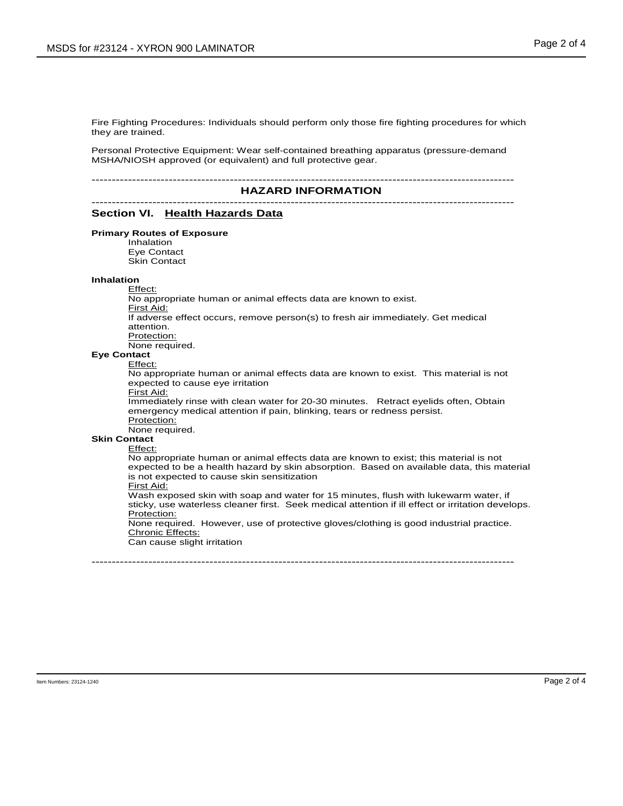Fire Fighting Procedures: Individuals should perform only those fire fighting procedures for which they are trained.

Personal Protective Equipment: Wear self-contained breathing apparatus (pressure-demand MSHA/NIOSH approved (or equivalent) and full protective gear.

## $HAZARD$  INFORMATION

# Section VI. Health Hazards Data

### **Primary Routes of Exposure**

Inhalation Eye Contact Skin Contact

## **Inhalation**

Effect:

No appropriate human or animal effects data are known to exist. First Aid: If adverse effect occurs, remove person(s) to fresh air immediately. Get medical attention.

Protection:

None required.

### **Eye Contact** Effect:

No appropriate human or animal effects data are known to exist. This material is not expected to cause eye irritation

First Aid:

Immediately rinse with clean water for 20-30 minutes. Retract eyelids often, Obtain emergency medical attention if pain, blinking, tears or redness persist. Protection:

None required.

## **Skin Contact**

Effect:

No appropriate human or animal effects data are known to exist; this material is not expected to be a health hazard by skin absorption. Based on available data, this material is not expected to cause skin sensitization

## First Aid:

Wash exposed skin with soap and water for 15 minutes, flush with lukewarm water, if sticky, use waterless cleaner first. Seek medical attention if ill effect or irritation develops. Protection:

None required. However, use of protective gloves/clothing is good industrial practice. Chronic Effects:

--------------------------------------------------------------------------------------------------------

Can cause slight irritation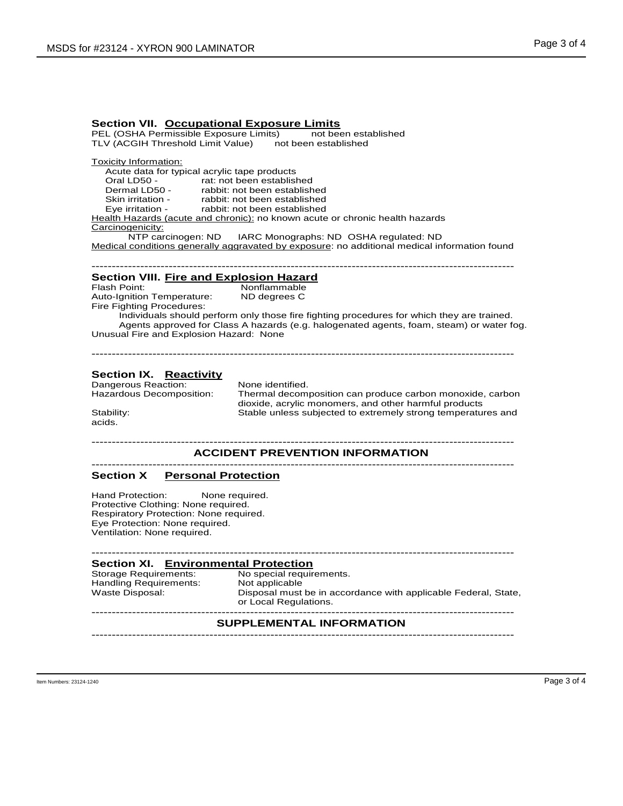**Section VII. Occupational Exposure Limits** PEL (OSHA Permissible Exposure Limits) TLV (ACGIH Threshold Limit Value) not been established

Toxicity Information:

Acute data for typical acrylic tape products<br>Oral LD50 - rat: not been establish Oral LD50 - rat: not been established<br>Dermal LD50 - rabbit: not been establish Dermal LD50 - rabbit: not been established<br>Skin irritation - rabbit: not been established<br>Eye irritation - rabbit: not been established rabbit: not been established rabbit: not been established Health Hazards (acute and chronic): no known acute or chronic health hazards Carcinogenicity:<br>NTP carcinogen: ND IARC Monographs: ND OSHA regulated: ND Medical conditions generally aggravated by exposure: no additional medical information found

-------------------------------------------------------------------------------------------------------- **Section VIII. Fire and Explosion Hazard** Nonflammable<br>ND degrees C Auto-Ignition Temperature: Fire Fighting Procedures:

Individuals should perform only those fire fighting procedures for which they are trained. Agents approved for Class A hazards (e.g. halogenated agents, foam, steam) or water fog. Unusual Fire and Explosion Hazard: None

--------------------------------------------------------------------------------------------------------

# **Section IX. Reactivity**<br>Dangerous Reaction: None identified.

Dangerous Reaction:<br>Hazardous Decomposition:

acids.

Thermal decomposition can produce carbon monoxide, carbon dioxide, acrylic monomers, and other harmful products Stability: Stable unless subjected to extremely strong temperatures and

# **ACCIDENT PREVENTION INFORMATION**

## **Section X Personal Protection**

Hand Protection: None required. Protective Clothing: None required. Respiratory Protection: None required. Eye Protection: None required. Ventilation: None required.

Handling Requirements:<br>Waste Disposal:

-------------------------------------------------------------------------------------------------------- **Section XI. Environmental Protection** No special requirements.<br>Not applicable Disposal must be in accordance with applicable Federal, State, or Local Requlations.

## $SUPPLEMENTAL INFORMATION$

--------------------------------------------------------------------------------------------------------

Item Numbers: 23124-1240 Page 3 of 4